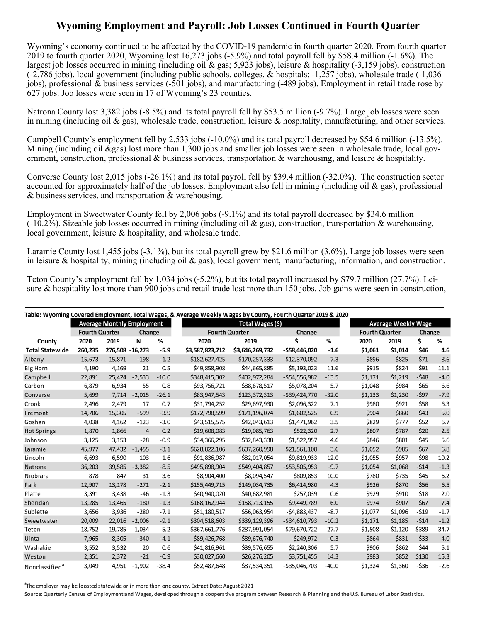## **Wyoming Employment and Payroll: Job Losses Continued in Fourth Quarter**

 Wyoming's economy continued to be affected by the COVID-19 pandemic in fourth quarter 2020. From fourth quarter jobs), professional & business services (-501 jobs), and manufacturing (-489 jobs). Employment in retail trade rose by 627 jobs. Job losses were seen in 17 of Wyoming's 23 counties. 2019 to fourth quarter 2020, Wyoming lost 16,273 jobs (-5.9%) and total payroll fell by \$58.4 million (-1.6%). The largest job losses occurred in mining (including oil & gas; 5,923 jobs), leisure & hospitality (-3,159 jobs), construction (-2,786 jobs), local government (including public schools, colleges, & hospitals; -1,257 jobs), wholesale trade (-1,036

Natrona County lost 3,382 jobs (-8.5%) and its total payroll fell by \$53.5 million (-9.7%). Large job losses were seen in mining (including oil  $\&$  gas), wholesale trade, construction, leisure  $\&$  hospitality, manufacturing, and other services.

ernment, construction, professional & business services, transportation & warehousing, and leisure & hospitality. Campbell County's employment fell by 2,533 jobs (-10.0%) and its total payroll decreased by \$54.6 million (-13.5%). Mining (including oil  $\&$ gas) lost more than 1,300 jobs and smaller job losses were seen in wholesale trade, local gov-

 & business services, and transportation & warehousing. Converse County lost 2,015 jobs (-26.1%) and its total payroll fell by \$39.4 million (-32.0%). The construction sector accounted for approximately half of the job losses. Employment also fell in mining (including oil  $\&$  gas), professional

Employment in Sweetwater County fell by 2,006 jobs (-9.1%) and its total payroll decreased by \$34.6 million  $(-10.2\%)$ . Sizeable job losses occurred in mining (including oil & gas), construction, transportation & warehousing, local government, leisure & hospitality, and wholesale trade.

Laramie County lost 1,455 jobs (-3.1%), but its total payroll grew by \$21.6 million (3.6%). Large job losses were seen in leisure & hospitality, mining (including oil & gas), local government, manufacturing, information, and construction.

 Teton County's employment fell by 1,034 jobs (-5.2%), but its total payroll increased by \$79.7 million (27.7%). Lei-sure & hospitality lost more than 900 jobs and retail trade lost more than 150 jobs. Job gains were seen in construction,

| Table: Wyoming Covered Employment, Total Wages, & Average Weekly Wages by County, Fourth Quarter 2019 & 2020 |                       |                 |                                   |         |                       |                  |                  |         |                       |                            |        |        |  |
|--------------------------------------------------------------------------------------------------------------|-----------------------|-----------------|-----------------------------------|---------|-----------------------|------------------|------------------|---------|-----------------------|----------------------------|--------|--------|--|
|                                                                                                              |                       |                 | <b>Average Monthly Employment</b> |         |                       | Total Wages (\$) |                  |         |                       | <b>Average Weekly Wage</b> |        |        |  |
|                                                                                                              | <b>Fourth Quarter</b> |                 | Change                            |         | <b>Fourth Quarter</b> |                  | Change           |         | <b>Fourth Quarter</b> |                            | Change |        |  |
| County                                                                                                       | 2020                  | 2019            | N                                 | %       | 2020                  | 2019             | Ś                | %       | 2020                  | 2019                       | \$     | %      |  |
| <b>Total Statewide</b>                                                                                       | 260,235               | 276,508 -16,273 |                                   | $-5.9$  | \$3,587,823,712       | \$3,646,269,732  | $-$ \$58,446,020 | $-1.6$  | \$1,061               | \$1,014                    | \$46   | 4.6    |  |
| Albany                                                                                                       | 15,673                | 15,871          | $-198$                            | $-1.2$  | \$182,627,425         | \$170,257,333    | \$12,370,092     | 7.3     | \$896                 | \$825                      | \$71   | 8.6    |  |
| <b>Big Horn</b>                                                                                              | 4,190                 | 4,169           | 21                                | 0.5     | \$49,858,908          | \$44,665,885     | \$5,193,023      | 11.6    | \$915                 | \$824                      | \$91   | 11.1   |  |
| Campbell                                                                                                     | 22,891                | 25,424          | $-2,533$                          | $-10.0$ | \$348,415,302         | \$402,972,284    | $-554,556,982$   | $-13.5$ | \$1,171               | \$1,219                    | $-548$ | $-4.0$ |  |
| Carbon                                                                                                       | 6,879                 | 6,934           | $-55$                             | $-0.8$  | \$93,756,721          | \$88,678,517     | \$5,078,204      | 5.7     | \$1,048               | \$984                      | \$65   | 6.6    |  |
| Converse                                                                                                     | 5,699                 | 7,714           | $-2,015$                          | $-26.1$ | \$83,947,543          | \$123,372,313    | $-539,424,770$   | $-32.0$ | \$1,133               | \$1,230                    | -\$97  | $-7.9$ |  |
| Crook                                                                                                        | 2,496                 | 2,479           | 17                                | 0.7     | \$31,794,252          | \$29,697,930     | \$2,096,322      | 7.1     | \$980                 | \$921                      | \$58   | 6.3    |  |
| Fremont                                                                                                      | 14,706                | 15,305          | $-599$                            | $-3.9$  | \$172,798,599         | \$171,196,074    | \$1,602,525      | 0.9     | \$904                 | \$860                      | \$43   | 5.0    |  |
| Goshen                                                                                                       | 4,038                 | 4,162           | $-123$                            | $-3.0$  | \$43,515,575          | \$42,043,613     | \$1,471,962      | 3.5     | \$829                 | \$777                      | \$52   | 6.7    |  |
| <b>Hot Springs</b>                                                                                           | 1,870                 | 1,866           | $\overline{4}$                    | 0.2     | \$19,608,083          | \$19,085,763     | \$522,320        | 2.7     | \$807                 | \$787                      | \$20   | 2.5    |  |
| Johnson                                                                                                      | 3,125                 | 3,153           | $-28$                             | $-0.9$  | \$34,366,295          | \$32,843,338     | \$1,522,957      | 4.6     | \$846                 | \$801                      | \$45   | 5.6    |  |
| Laramie                                                                                                      | 45,977                | 47,432          | $-1,455$                          | $-3.1$  | \$628,822,106         | \$607,260,998    | \$21,561,108     | 3.6     | \$1,052               | \$985                      | \$67   | 6.8    |  |
| Lincoln                                                                                                      | 6,693                 | 6,590           | 103                               | 1.6     | \$91,836,987          | \$82,017,054     | \$9,819,933      | 12.0    | \$1,055               | \$957                      | \$98   | 10.2   |  |
| Natrona                                                                                                      | 36,203                | 39,585          | $-3.382$                          | $-8.5$  | \$495,898,904         | \$549,404,857    | $-553,505,953$   | $-9.7$  | \$1,054               | \$1,068                    | $-514$ | $-1.3$ |  |
| Niobrara                                                                                                     | 878                   | 847             | 31                                | 3.6     | \$8,904,400           | \$8,094,547      | \$809,853        | 10.0    | \$780                 | \$735                      | \$45   | 6.2    |  |
| Park                                                                                                         | 12,907                | 13,178          | $-271$                            | $-2.1$  | \$155,449,715         | \$149,034,735    | \$6,414,980      | 4.3     | \$926                 | \$870                      | \$56   | 6.5    |  |
| Platte                                                                                                       | 3,391                 | 3,438           | $-46$                             | $-1.3$  | \$40,940,020          | \$40,682,981     | \$257,039        | 0.6     | \$929                 | \$910                      | \$18   | 2.0    |  |
| Sheridan                                                                                                     | 13,285                | 13,465          | $-180$                            | $-1.3$  | \$168,162,944         | \$158,713,155    | \$9,449,789      | 6.0     | \$974                 | \$907                      | \$67   | 7.4    |  |
| Sublette                                                                                                     | 3,656                 | 3,936           | $-280$                            | $-7.1$  | \$51,180,517          | \$56,063,954     | $-54,883,437$    | $-8.7$  | \$1,077               | \$1,096                    | $-519$ | $-1.7$ |  |
| Sweetwater                                                                                                   | 20,009                | 22,016          | $-2,006$                          | $-9.1$  | \$304,518,603         | \$339,129,396    | $-534,610,793$   | $-10.2$ | \$1,171               | \$1,185                    | $-514$ | $-1.2$ |  |
| Teton                                                                                                        | 18,752                | 19,785          | $-1,034$                          | $-5.2$  | \$367,661,776         | \$287,991,054    | \$79,670,722     | 27.7    | \$1,508               | \$1,120                    | \$389  | 34.7   |  |
| Uinta                                                                                                        | 7.965                 | 8,305           | $-340$                            | $-4.1$  | \$89,426,768          | \$89,676,740     | $-5249.972$      | $-0.3$  | \$864                 | \$831                      | \$33   | 4.0    |  |
| Washakie                                                                                                     | 3,552                 | 3,532           | 20                                | 0.6     | \$41,816,961          | \$39,576,655     | \$2,240,306      | 5.7     | \$906                 | \$862                      | \$44   | 5.1    |  |
| Weston                                                                                                       | 2,351                 | 2,372           | $-21$                             | $-0.9$  | \$30,027,660          | \$26,276,205     | \$3,751,455      | 14.3    | \$983                 | \$852                      | \$130  | 15.3   |  |
| Nonclassified <sup>a</sup>                                                                                   | 3,049                 | 4,951           | $-1,902$                          | $-38.4$ | \$52,487,648          | \$87,534,351     | $-$ \$35,046,703 | $-40.0$ | \$1,324               | \$1,360                    | $-536$ | $-2.6$ |  |

<sup>a</sup>The employer may be located statewide or in more than one county. Extract Date: August 2021

Source: Quarterly Census of Employment and Wages, developed through a cooperative program between Research & Planning and the U.S. Bureau of Labor Statistics.